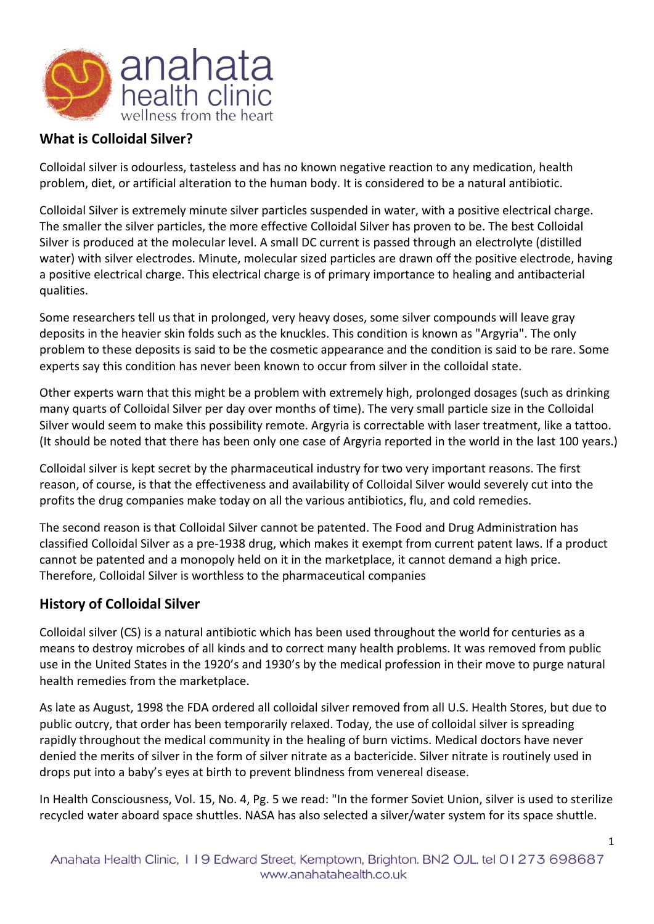

# **What is Colloidal Silver?**

Colloidal silver is odourless, tasteless and has no known negative reaction to any medication, health problem, diet, or artificial alteration to the human body. It is considered to be a natural antibiotic.

Colloidal Silver is extremely minute silver particles suspended in water, with a positive electrical charge. The smaller the silver particles, the more effective Colloidal Silver has proven to be. The best Colloidal Silver is produced at the molecular level. A small DC current is passed through an electrolyte (distilled water) with silver electrodes. Minute, molecular sized particles are drawn off the positive electrode, having a positive electrical charge. This electrical charge is of primary importance to healing and antibacterial qualities.

Some researchers tell us that in prolonged, very heavy doses, some silver compounds will leave gray deposits in the heavier skin folds such as the knuckles. This condition is known as "Argyria". The only problem to these deposits is said to be the cosmetic appearance and the condition is said to be rare. Some experts say this condition has never been known to occur from silver in the colloidal state.

Other experts warn that this might be a problem with extremely high, prolonged dosages (such as drinking many quarts of Colloidal Silver per day over months of time). The very small particle size in the Colloidal Silver would seem to make this possibility remote. Argyria is correctable with laser treatment, like a tattoo. (It should be noted that there has been only one case of Argyria reported in the world in the last 100 years.)

Colloidal silver is kept secret by the pharmaceutical industry for two very important reasons. The first reason, of course, is that the effectiveness and availability of Colloidal Silver would severely cut into the profits the drug companies make today on all the various antibiotics, flu, and cold remedies.

The second reason is that Colloidal Silver cannot be patented. The Food and Drug Administration has classified Colloidal Silver as a pre-1938 drug, which makes it exempt from current patent laws. If a product cannot be patented and a monopoly held on it in the marketplace, it cannot demand a high price. Therefore, Colloidal Silver is worthless to the pharmaceutical companies

### **History of Colloidal Silver**

Colloidal silver (CS) is a natural antibiotic which has been used throughout the world for centuries as a means to destroy microbes of all kinds and to correct many health problems. It was removed from public use in the United States in the 1920's and 1930's by the medical profession in their move to purge natural health remedies from the marketplace.

As late as August, 1998 the FDA ordered all colloidal silver removed from all U.S. Health Stores, but due to public outcry, that order has been temporarily relaxed. Today, the use of colloidal silver is spreading rapidly throughout the medical community in the healing of burn victims. Medical doctors have never denied the merits of silver in the form of silver nitrate as a bactericide. Silver nitrate is routinely used in drops put into a baby's eyes at birth to prevent blindness from venereal disease.

In Health Consciousness, Vol. 15, No. 4, Pg. 5 we read: "In the former Soviet Union, silver is used to sterilize recycled water aboard space shuttles. NASA has also selected a silver/water system for its space shuttle.

1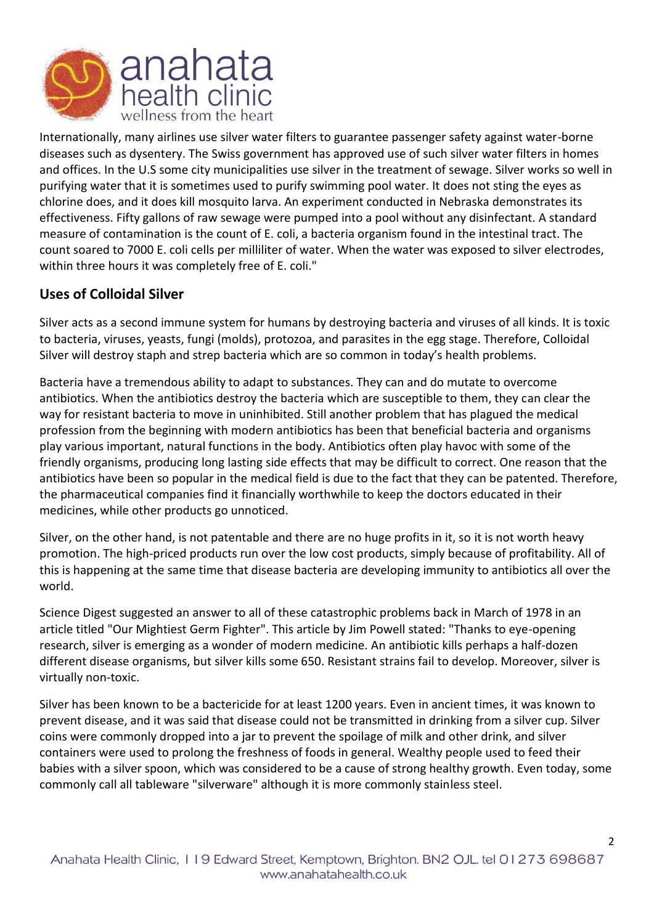

Internationally, many airlines use silver water filters to guarantee passenger safety against water-borne diseases such as dysentery. The Swiss government has approved use of such silver water filters in homes and offices. In the U.S some city municipalities use silver in the treatment of sewage. Silver works so well in purifying water that it is sometimes used to purify swimming pool water. It does not sting the eyes as chlorine does, and it does kill mosquito larva. An experiment conducted in Nebraska demonstrates its effectiveness. Fifty gallons of raw sewage were pumped into a pool without any disinfectant. A standard measure of contamination is the count of E. coli, a bacteria organism found in the intestinal tract. The count soared to 7000 E. coli cells per milliliter of water. When the water was exposed to silver electrodes, within three hours it was completely free of E. coli."

# **Uses of Colloidal Silver**

Silver acts as a second immune system for humans by destroying bacteria and viruses of all kinds. It is toxic to bacteria, viruses, yeasts, fungi (molds), protozoa, and parasites in the egg stage. Therefore, Colloidal Silver will destroy staph and strep bacteria which are so common in today's health problems.

Bacteria have a tremendous ability to adapt to substances. They can and do mutate to overcome antibiotics. When the antibiotics destroy the bacteria which are susceptible to them, they can clear the way for resistant bacteria to move in uninhibited. Still another problem that has plagued the medical profession from the beginning with modern antibiotics has been that beneficial bacteria and organisms play various important, natural functions in the body. Antibiotics often play havoc with some of the friendly organisms, producing long lasting side effects that may be difficult to correct. One reason that the antibiotics have been so popular in the medical field is due to the fact that they can be patented. Therefore, the pharmaceutical companies find it financially worthwhile to keep the doctors educated in their medicines, while other products go unnoticed.

Silver, on the other hand, is not patentable and there are no huge profits in it, so it is not worth heavy promotion. The high-priced products run over the low cost products, simply because of profitability. All of this is happening at the same time that disease bacteria are developing immunity to antibiotics all over the world.

Science Digest suggested an answer to all of these catastrophic problems back in March of 1978 in an article titled "Our Mightiest Germ Fighter". This article by Jim Powell stated: "Thanks to eye-opening research, silver is emerging as a wonder of modern medicine. An antibiotic kills perhaps a half-dozen different disease organisms, but silver kills some 650. Resistant strains fail to develop. Moreover, silver is virtually non-toxic.

Silver has been known to be a bactericide for at least 1200 years. Even in ancient times, it was known to prevent disease, and it was said that disease could not be transmitted in drinking from a silver cup. Silver coins were commonly dropped into a jar to prevent the spoilage of milk and other drink, and silver containers were used to prolong the freshness of foods in general. Wealthy people used to feed their babies with a silver spoon, which was considered to be a cause of strong healthy growth. Even today, some commonly call all tableware "silverware" although it is more commonly stainless steel.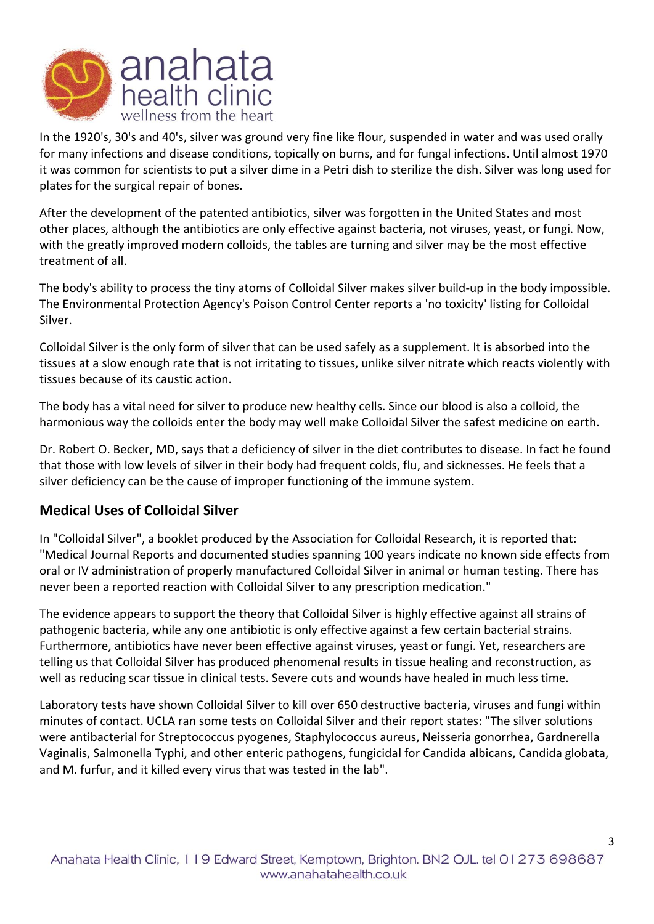

In the 1920's, 30's and 40's, silver was ground very fine like flour, suspended in water and was used orally for many infections and disease conditions, topically on burns, and for fungal infections. Until almost 1970 it was common for scientists to put a silver dime in a Petri dish to sterilize the dish. Silver was long used for plates for the surgical repair of bones.

After the development of the patented antibiotics, silver was forgotten in the United States and most other places, although the antibiotics are only effective against bacteria, not viruses, yeast, or fungi. Now, with the greatly improved modern colloids, the tables are turning and silver may be the most effective treatment of all.

The body's ability to process the tiny atoms of Colloidal Silver makes silver build-up in the body impossible. The Environmental Protection Agency's Poison Control Center reports a 'no toxicity' listing for Colloidal Silver.

Colloidal Silver is the only form of silver that can be used safely as a supplement. It is absorbed into the tissues at a slow enough rate that is not irritating to tissues, unlike silver nitrate which reacts violently with tissues because of its caustic action.

The body has a vital need for silver to produce new healthy cells. Since our blood is also a colloid, the harmonious way the colloids enter the body may well make Colloidal Silver the safest medicine on earth.

Dr. Robert O. Becker, MD, says that a deficiency of silver in the diet contributes to disease. In fact he found that those with low levels of silver in their body had frequent colds, flu, and sicknesses. He feels that a silver deficiency can be the cause of improper functioning of the immune system.

# **Medical Uses of Colloidal Silver**

In "Colloidal Silver", a booklet produced by the Association for Colloidal Research, it is reported that: "Medical Journal Reports and documented studies spanning 100 years indicate no known side effects from oral or IV administration of properly manufactured Colloidal Silver in animal or human testing. There has never been a reported reaction with Colloidal Silver to any prescription medication."

The evidence appears to support the theory that Colloidal Silver is highly effective against all strains of pathogenic bacteria, while any one antibiotic is only effective against a few certain bacterial strains. Furthermore, antibiotics have never been effective against viruses, yeast or fungi. Yet, researchers are telling us that Colloidal Silver has produced phenomenal results in tissue healing and reconstruction, as well as reducing scar tissue in clinical tests. Severe cuts and wounds have healed in much less time.

Laboratory tests have shown Colloidal Silver to kill over 650 destructive bacteria, viruses and fungi within minutes of contact. UCLA ran some tests on Colloidal Silver and their report states: "The silver solutions were antibacterial for Streptococcus pyogenes, Staphylococcus aureus, Neisseria gonorrhea, Gardnerella Vaginalis, Salmonella Typhi, and other enteric pathogens, fungicidal for Candida albicans, Candida globata, and M. furfur, and it killed every virus that was tested in the lab".

3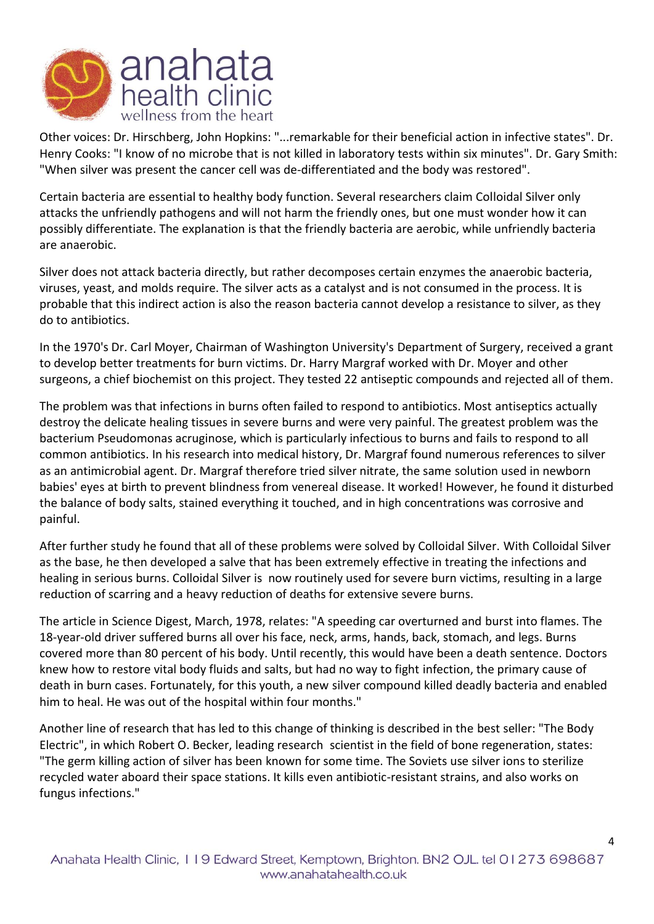

Other voices: Dr. Hirschberg, John Hopkins: "...remarkable for their beneficial action in infective states". Dr. Henry Cooks: "I know of no microbe that is not killed in laboratory tests within six minutes". Dr. Gary Smith: "When silver was present the cancer cell was de-differentiated and the body was restored".

Certain bacteria are essential to healthy body function. Several researchers claim Colloidal Silver only attacks the unfriendly pathogens and will not harm the friendly ones, but one must wonder how it can possibly differentiate. The explanation is that the friendly bacteria are aerobic, while unfriendly bacteria are anaerobic.

Silver does not attack bacteria directly, but rather decomposes certain enzymes the anaerobic bacteria, viruses, yeast, and molds require. The silver acts as a catalyst and is not consumed in the process. It is probable that this indirect action is also the reason bacteria cannot develop a resistance to silver, as they do to antibiotics.

In the 1970's Dr. Carl Moyer, Chairman of Washington University's Department of Surgery, received a grant to develop better treatments for burn victims. Dr. Harry Margraf worked with Dr. Moyer and other surgeons, a chief biochemist on this project. They tested 22 antiseptic compounds and rejected all of them.

The problem was that infections in burns often failed to respond to antibiotics. Most antiseptics actually destroy the delicate healing tissues in severe burns and were very painful. The greatest problem was the bacterium Pseudomonas acruginose, which is particularly infectious to burns and fails to respond to all common antibiotics. In his research into medical history, Dr. Margraf found numerous references to silver as an antimicrobial agent. Dr. Margraf therefore tried silver nitrate, the same solution used in newborn babies' eyes at birth to prevent blindness from venereal disease. It worked! However, he found it disturbed the balance of body salts, stained everything it touched, and in high concentrations was corrosive and painful.

After further study he found that all of these problems were solved by Colloidal Silver. With Colloidal Silver as the base, he then developed a salve that has been extremely effective in treating the infections and healing in serious burns. Colloidal Silver is now routinely used for severe burn victims, resulting in a large reduction of scarring and a heavy reduction of deaths for extensive severe burns.

The article in Science Digest, March, 1978, relates: "A speeding car overturned and burst into flames. The 18-year-old driver suffered burns all over his face, neck, arms, hands, back, stomach, and legs. Burns covered more than 80 percent of his body. Until recently, this would have been a death sentence. Doctors knew how to restore vital body fluids and salts, but had no way to fight infection, the primary cause of death in burn cases. Fortunately, for this youth, a new silver compound killed deadly bacteria and enabled him to heal. He was out of the hospital within four months."

Another line of research that has led to this change of thinking is described in the best seller: "The Body Electric", in which Robert O. Becker, leading research scientist in the field of bone regeneration, states: "The germ killing action of silver has been known for some time. The Soviets use silver ions to sterilize recycled water aboard their space stations. It kills even antibiotic-resistant strains, and also works on fungus infections."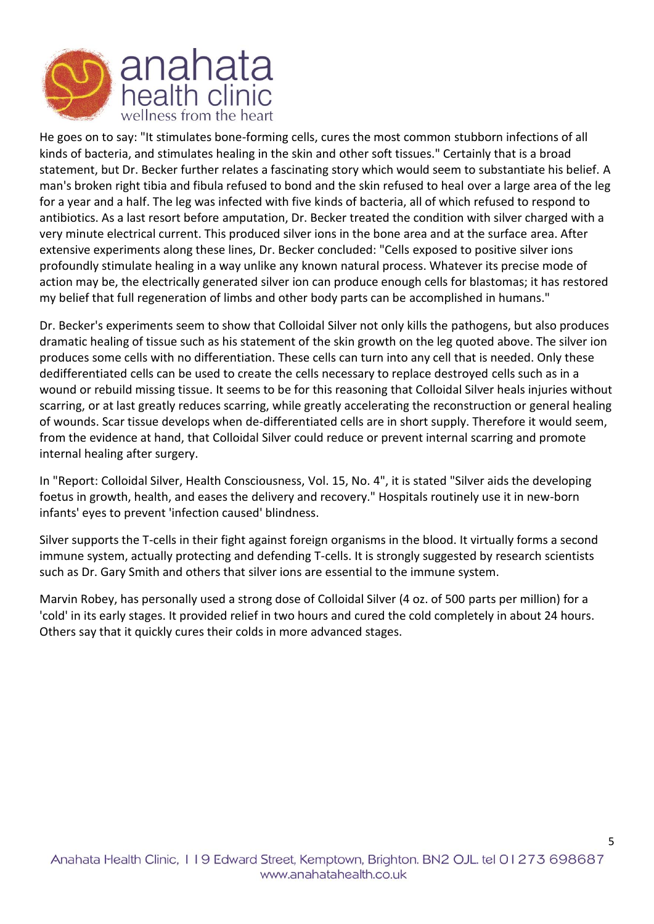

He goes on to say: "It stimulates bone-forming cells, cures the most common stubborn infections of all kinds of bacteria, and stimulates healing in the skin and other soft tissues." Certainly that is a broad statement, but Dr. Becker further relates a fascinating story which would seem to substantiate his belief. A man's broken right tibia and fibula refused to bond and the skin refused to heal over a large area of the leg for a year and a half. The leg was infected with five kinds of bacteria, all of which refused to respond to antibiotics. As a last resort before amputation, Dr. Becker treated the condition with silver charged with a very minute electrical current. This produced silver ions in the bone area and at the surface area. After extensive experiments along these lines, Dr. Becker concluded: "Cells exposed to positive silver ions profoundly stimulate healing in a way unlike any known natural process. Whatever its precise mode of action may be, the electrically generated silver ion can produce enough cells for blastomas; it has restored my belief that full regeneration of limbs and other body parts can be accomplished in humans."

Dr. Becker's experiments seem to show that Colloidal Silver not only kills the pathogens, but also produces dramatic healing of tissue such as his statement of the skin growth on the leg quoted above. The silver ion produces some cells with no differentiation. These cells can turn into any cell that is needed. Only these dedifferentiated cells can be used to create the cells necessary to replace destroyed cells such as in a wound or rebuild missing tissue. It seems to be for this reasoning that Colloidal Silver heals injuries without scarring, or at last greatly reduces scarring, while greatly accelerating the reconstruction or general healing of wounds. Scar tissue develops when de-differentiated cells are in short supply. Therefore it would seem, from the evidence at hand, that Colloidal Silver could reduce or prevent internal scarring and promote internal healing after surgery.

In "Report: Colloidal Silver, Health Consciousness, Vol. 15, No. 4", it is stated "Silver aids the developing foetus in growth, health, and eases the delivery and recovery." Hospitals routinely use it in new-born infants' eyes to prevent 'infection caused' blindness.

Silver supports the T-cells in their fight against foreign organisms in the blood. It virtually forms a second immune system, actually protecting and defending T-cells. It is strongly suggested by research scientists such as Dr. Gary Smith and others that silver ions are essential to the immune system.

Marvin Robey, has personally used a strong dose of Colloidal Silver (4 oz. of 500 parts per million) for a 'cold' in its early stages. It provided relief in two hours and cured the cold completely in about 24 hours. Others say that it quickly cures their colds in more advanced stages.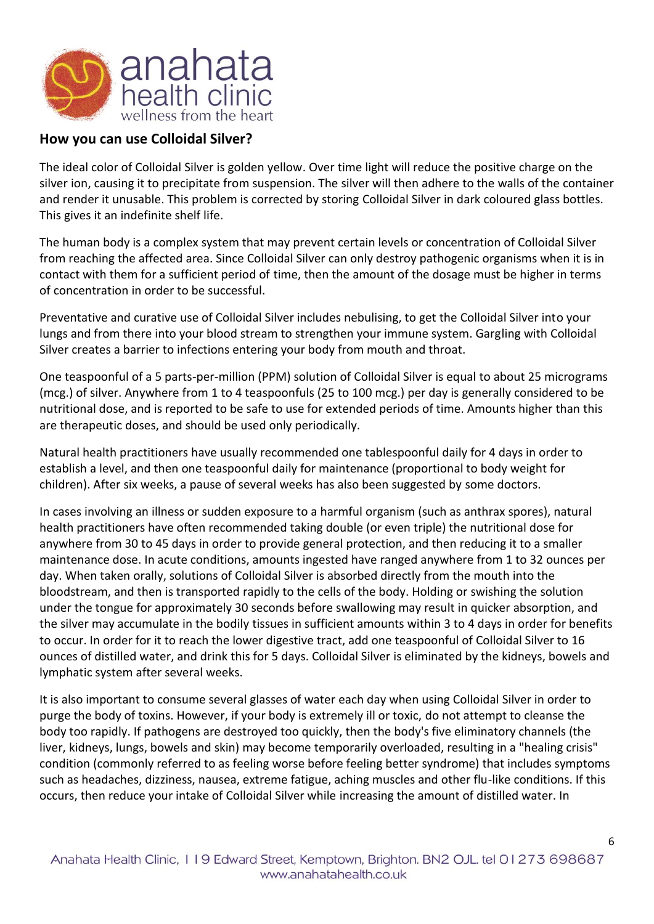

### **How you can use Colloidal Silver?**

The ideal color of Colloidal Silver is golden yellow. Over time light will reduce the positive charge on the silver ion, causing it to precipitate from suspension. The silver will then adhere to the walls of the container and render it unusable. This problem is corrected by storing Colloidal Silver in dark coloured glass bottles. This gives it an indefinite shelf life.

The human body is a complex system that may prevent certain levels or concentration of Colloidal Silver from reaching the affected area. Since Colloidal Silver can only destroy pathogenic organisms when it is in contact with them for a sufficient period of time, then the amount of the dosage must be higher in terms of concentration in order to be successful.

Preventative and curative use of Colloidal Silver includes nebulising, to get the Colloidal Silver into your lungs and from there into your blood stream to strengthen your immune system. Gargling with Colloidal Silver creates a barrier to infections entering your body from mouth and throat.

One teaspoonful of a 5 parts-per-million (PPM) solution of Colloidal Silver is equal to about 25 micrograms (mcg.) of silver. Anywhere from 1 to 4 teaspoonfuls (25 to 100 mcg.) per day is generally considered to be nutritional dose, and is reported to be safe to use for extended periods of time. Amounts higher than this are therapeutic doses, and should be used only periodically.

Natural health practitioners have usually recommended one tablespoonful daily for 4 days in order to establish a level, and then one teaspoonful daily for maintenance (proportional to body weight for children). After six weeks, a pause of several weeks has also been suggested by some doctors.

In cases involving an illness or sudden exposure to a harmful organism (such as anthrax spores), natural health practitioners have often recommended taking double (or even triple) the nutritional dose for anywhere from 30 to 45 days in order to provide general protection, and then reducing it to a smaller maintenance dose. In acute conditions, amounts ingested have ranged anywhere from 1 to 32 ounces per day. When taken orally, solutions of Colloidal Silver is absorbed directly from the mouth into the bloodstream, and then is transported rapidly to the cells of the body. Holding or swishing the solution under the tongue for approximately 30 seconds before swallowing may result in quicker absorption, and the silver may accumulate in the bodily tissues in sufficient amounts within 3 to 4 days in order for benefits to occur. In order for it to reach the lower digestive tract, add one teaspoonful of Colloidal Silver to 16 ounces of distilled water, and drink this for 5 days. Colloidal Silver is eliminated by the kidneys, bowels and lymphatic system after several weeks.

It is also important to consume several glasses of water each day when using Colloidal Silver in order to purge the body of toxins. However, if your body is extremely ill or toxic, do not attempt to cleanse the body too rapidly. If pathogens are destroyed too quickly, then the body's five eliminatory channels (the liver, kidneys, lungs, bowels and skin) may become temporarily overloaded, resulting in a "healing crisis" condition (commonly referred to as feeling worse before feeling better syndrome) that includes symptoms such as headaches, dizziness, nausea, extreme fatigue, aching muscles and other flu-like conditions. If this occurs, then reduce your intake of Colloidal Silver while increasing the amount of distilled water. In

6